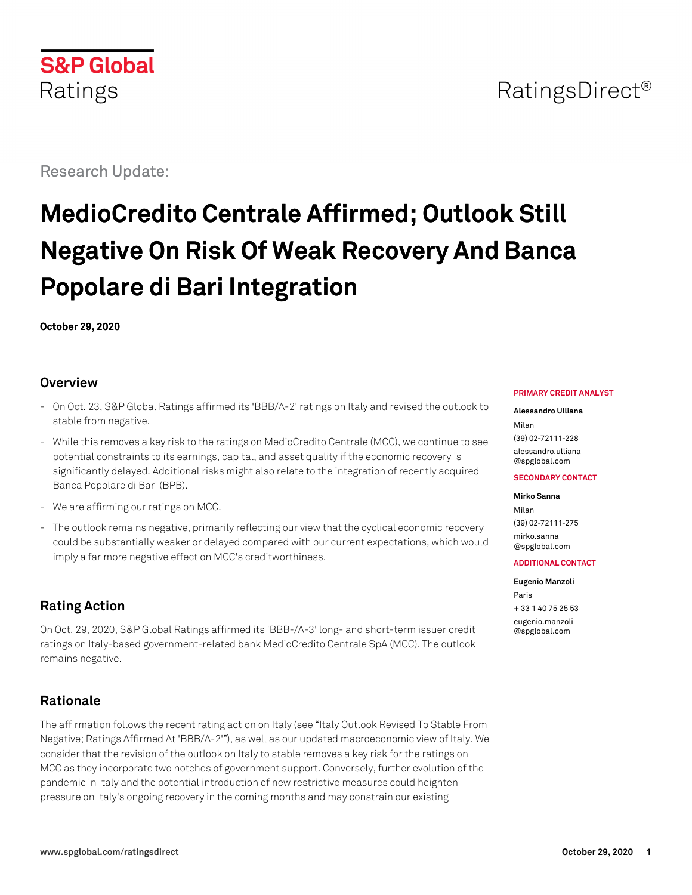

## RatingsDirect<sup>®</sup>

Research Update:

# **MedioCredito Centrale Affirmed; Outlook Still Negative On Risk Of Weak Recovery And Banca Popolare di Bari Integration**

**October 29, 2020**

## **Overview**

- On Oct. 23, S&P Global Ratings affirmed its 'BBB/A-2' ratings on Italy and revised the outlook to stable from negative.
- While this removes a key risk to the ratings on MedioCredito Centrale (MCC), we continue to see potential constraints to its earnings, capital, and asset quality if the economic recovery is significantly delayed. Additional risks might also relate to the integration of recently acquired Banca Popolare di Bari (BPB).
- We are affirming our ratings on MCC.
- The outlook remains negative, primarily reflecting our view that the cyclical economic recovery could be substantially weaker or delayed compared with our current expectations, which would imply a far more negative effect on MCC's creditworthiness.

## **Rating Action**

On Oct. 29, 2020, S&P Global Ratings affirmed its 'BBB-/A-3' long- and short-term issuer credit ratings on Italy-based government-related bank MedioCredito Centrale SpA (MCC). The outlook remains negative.

## **Rationale**

The affirmation follows the recent rating action on Italy (see "Italy Outlook Revised To Stable From Negative; Ratings Affirmed At 'BBB/A-2'"), as well as our updated macroeconomic view of Italy. We consider that the revision of the outlook on Italy to stable removes a key risk for the ratings on MCC as they incorporate two notches of government support. Conversely, further evolution of the pandemic in Italy and the potential introduction of new restrictive measures could heighten pressure on Italy's ongoing recovery in the coming months and may constrain our existing

#### **PRIMARY CREDIT ANALYST**

#### **Alessandro Ulliana** Milan (39) 02-72111-228 [alessandro.ulliana](mailto:alessandro.ulliana@spglobal.com) [@spglobal.com](mailto:alessandro.ulliana@spglobal.com)

#### **SECONDARY CONTACT**

#### **Mirko Sanna**

Milan (39) 02-72111-275 [mirko.sanna](mailto:mirko.sanna@spglobal.com) [@spglobal.com](mailto:mirko.sanna@spglobal.com)

#### **ADDITIONAL CONTACT**

**Eugenio Manzoli** Paris + 33 1 40 75 25 53 [eugenio.manzoli](mailto:eugenio.manzoli@spglobal.com)

[@spglobal.com](mailto:eugenio.manzoli@spglobal.com)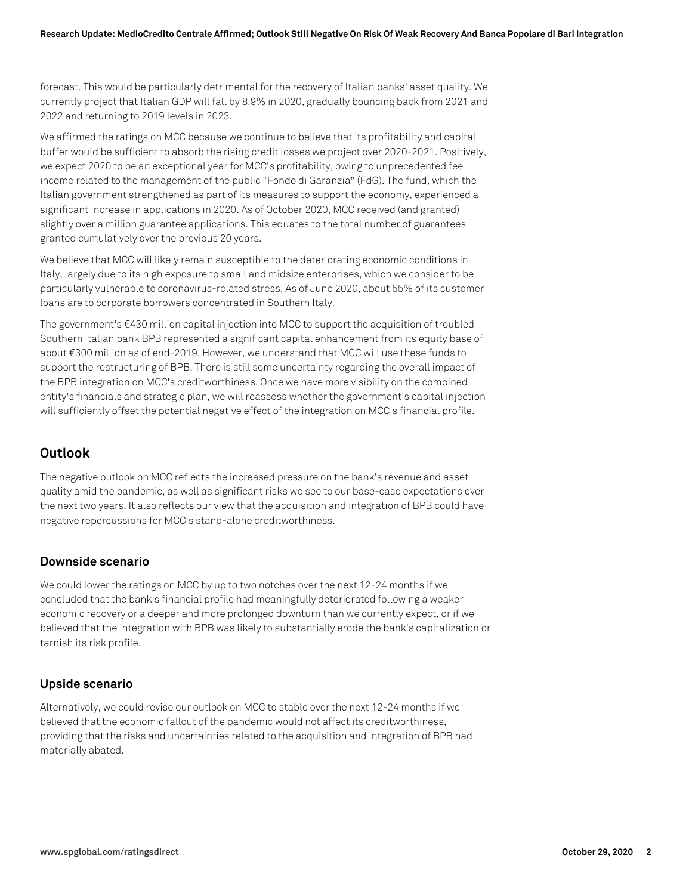forecast. This would be particularly detrimental for the recovery of Italian banks' asset quality. We currently project that Italian GDP will fall by 8.9% in 2020, gradually bouncing back from 2021 and 2022 and returning to 2019 levels in 2023.

We affirmed the ratings on MCC because we continue to believe that its profitability and capital buffer would be sufficient to absorb the rising credit losses we project over 2020-2021. Positively, we expect 2020 to be an exceptional year for MCC's profitability, owing to unprecedented fee income related to the management of the public "Fondo di Garanzia" (FdG). The fund, which the Italian government strengthened as part of its measures to support the economy, experienced a significant increase in applications in 2020. As of October 2020, MCC received (and granted) slightly over a million guarantee applications. This equates to the total number of guarantees granted cumulatively over the previous 20 years.

We believe that MCC will likely remain susceptible to the deteriorating economic conditions in Italy, largely due to its high exposure to small and midsize enterprises, which we consider to be particularly vulnerable to coronavirus-related stress. As of June 2020, about 55% of its customer loans are to corporate borrowers concentrated in Southern Italy.

The government's €430 million capital injection into MCC to support the acquisition of troubled Southern Italian bank BPB represented a significant capital enhancement from its equity base of about €300 million as of end-2019. However, we understand that MCC will use these funds to support the restructuring of BPB. There is still some uncertainty regarding the overall impact of the BPB integration on MCC's creditworthiness. Once we have more visibility on the combined entity's financials and strategic plan, we will reassess whether the government's capital injection will sufficiently offset the potential negative effect of the integration on MCC's financial profile.

## **Outlook**

The negative outlook on MCC reflects the increased pressure on the bank's revenue and asset quality amid the pandemic, as well as significant risks we see to our base-case expectations over the next two years. It also reflects our view that the acquisition and integration of BPB could have negative repercussions for MCC's stand-alone creditworthiness.

#### **Downside scenario**

We could lower the ratings on MCC by up to two notches over the next 12-24 months if we concluded that the bank's financial profile had meaningfully deteriorated following a weaker economic recovery or a deeper and more prolonged downturn than we currently expect, or if we believed that the integration with BPB was likely to substantially erode the bank's capitalization or tarnish its risk profile.

## **Upside scenario**

Alternatively, we could revise our outlook on MCC to stable over the next 12-24 months if we believed that the economic fallout of the pandemic would not affect its creditworthiness, providing that the risks and uncertainties related to the acquisition and integration of BPB had materially abated.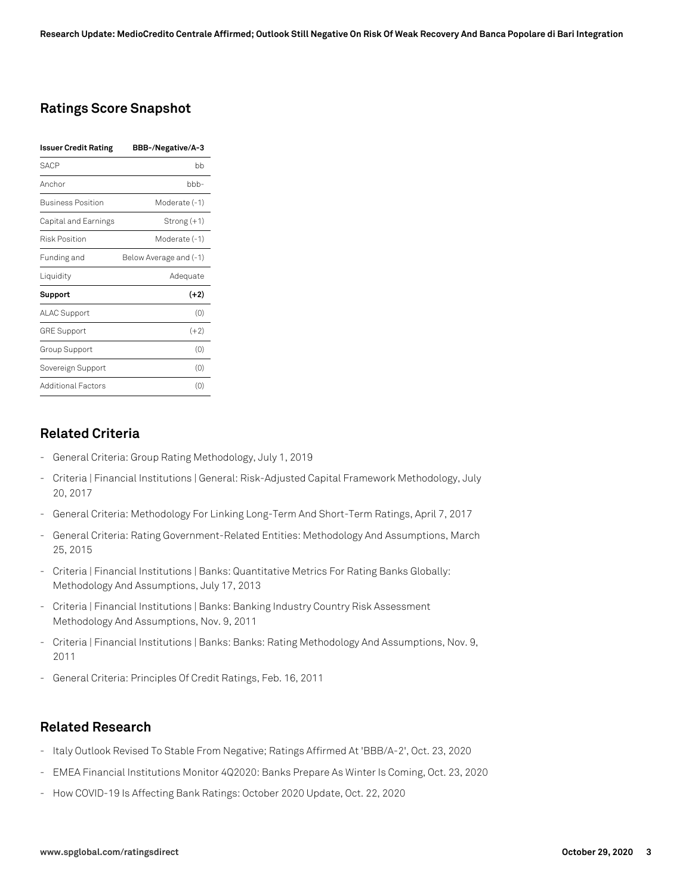## **Ratings Score Snapshot**

| <b>Issuer Credit Rating</b> | BBB-/Negative/A-3      |
|-----------------------------|------------------------|
| <b>SACP</b>                 | bb                     |
| Anchor                      | bbb-                   |
| <b>Business Position</b>    | Moderate (-1)          |
| Capital and Earnings        | Strong (+1)            |
| <b>Risk Position</b>        | Moderate (-1)          |
| Funding and                 | Below Average and (-1) |
| Liquidity                   | Adequate               |
| Support                     | $(+2)$                 |
| ALAC Support                | (0)                    |
| <b>GRE Support</b>          | $(+2)$                 |
| Group Support               | (0)                    |
| Sovereign Support           | (0)                    |
| <b>Additional Factors</b>   | (0)                    |

## **Related Criteria**

- General Criteria: Group Rating Methodology, July 1, 2019
- Criteria | Financial Institutions | General: Risk-Adjusted Capital Framework Methodology, July 20, 2017
- General Criteria: Methodology For Linking Long-Term And Short-Term Ratings, April 7, 2017
- General Criteria: Rating Government-Related Entities: Methodology And Assumptions, March 25, 2015
- Criteria | Financial Institutions | Banks: Quantitative Metrics For Rating Banks Globally: Methodology And Assumptions, July 17, 2013
- Criteria | Financial Institutions | Banks: Banking Industry Country Risk Assessment Methodology And Assumptions, Nov. 9, 2011
- Criteria | Financial Institutions | Banks: Banks: Rating Methodology And Assumptions, Nov. 9, 2011
- General Criteria: Principles Of Credit Ratings, Feb. 16, 2011

#### **Related Research**

- Italy Outlook Revised To Stable From Negative; Ratings Affirmed At 'BBB/A-2', Oct. 23, 2020
- EMEA Financial Institutions Monitor 4Q2020: Banks Prepare As Winter Is Coming, Oct. 23, 2020
- How COVID-19 Is Affecting Bank Ratings: October 2020 Update, Oct. 22, 2020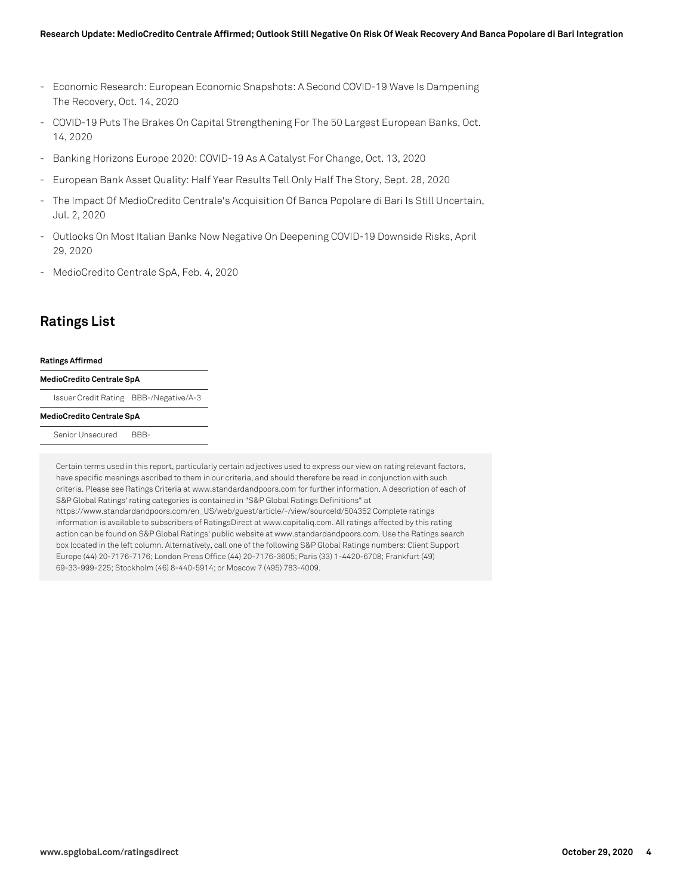- Economic Research: European Economic Snapshots: A Second COVID-19 Wave Is Dampening The Recovery, Oct. 14, 2020
- COVID-19 Puts The Brakes On Capital Strengthening For The 50 Largest European Banks, Oct. 14, 2020
- Banking Horizons Europe 2020: COVID-19 As A Catalyst For Change, Oct. 13, 2020
- European Bank Asset Quality: Half Year Results Tell Only Half The Story, Sept. 28, 2020
- The Impact Of MedioCredito Centrale's Acquisition Of Banca Popolare di Bari Is Still Uncertain, Jul. 2, 2020
- Outlooks On Most Italian Banks Now Negative On Deepening COVID-19 Downside Risks, April 29, 2020
- MedioCredito Centrale SpA, Feb. 4, 2020

## **Ratings List**

#### **Ratings Affirmed**

#### **MedioCredito Centrale SpA**

Issuer Credit Rating BBB-/Negative/A-3

#### **MedioCredito Centrale SpA**

Senior Unsecured BBB-

Certain terms used in this report, particularly certain adjectives used to express our view on rating relevant factors, have specific meanings ascribed to them in our criteria, and should therefore be read in conjunction with such criteria. Please see Ratings Criteria at www.standardandpoors.com for further information. A description of each of S&P Global Ratings' rating categories is contained in "S&P Global Ratings Definitions" at https://www.standardandpoors.com/en\_US/web/guest/article/-/view/sourceId/504352 Complete ratings information is available to subscribers of RatingsDirect at www.capitaliq.com. All ratings affected by this rating action can be found on S&P Global Ratings' public website at www.standardandpoors.com. Use the Ratings search box located in the left column. Alternatively, call one of the following S&P Global Ratings numbers: Client Support Europe (44) 20-7176-7176; London Press Office (44) 20-7176-3605; Paris (33) 1-4420-6708; Frankfurt (49) 69-33-999-225; Stockholm (46) 8-440-5914; or Moscow 7 (495) 783-4009.